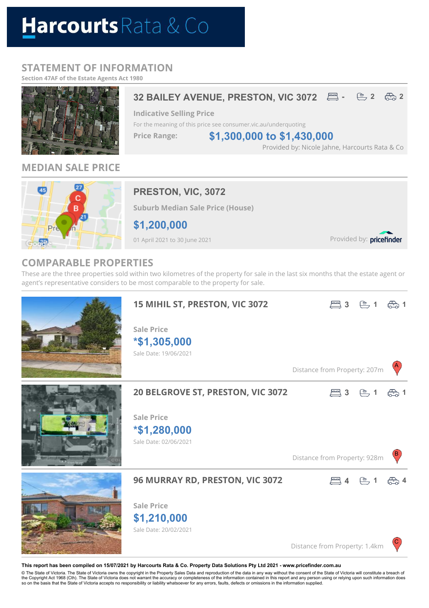# Harcourts Rata & Co

# **STATEMENT OF INFORMATION**

**Section 47AF of the Estate Agents Act 1980**



# **MEDIAN SALE PRICE**



# **PRESTON, VIC, 3072**

**Suburb Median Sale Price (House)**

**\$1,200,000**

01 April 2021 to 30 June 2021

Provided by: pricefinder

# **COMPARABLE PROPERTIES**

These are the three properties sold within two kilometres of the property for sale in the last six months that the estate agent or agent's representative considers to be most comparable to the property for sale.



#### **This report has been compiled on 15/07/2021 by Harcourts Rata & Co. Property Data Solutions Pty Ltd 2021 - www.pricefinder.com.au**

© The State of Victoria. The State of Victoria owns the copyright in the Property Sales Data and reproduction of the data in any way without the consent of the State of Victoria will constitute a breach of<br>the Copyright Ac so on the basis that the State of Victoria accepts no responsibility or liability whatsoever for any errors, faults, defects or omissions in the information supplied.